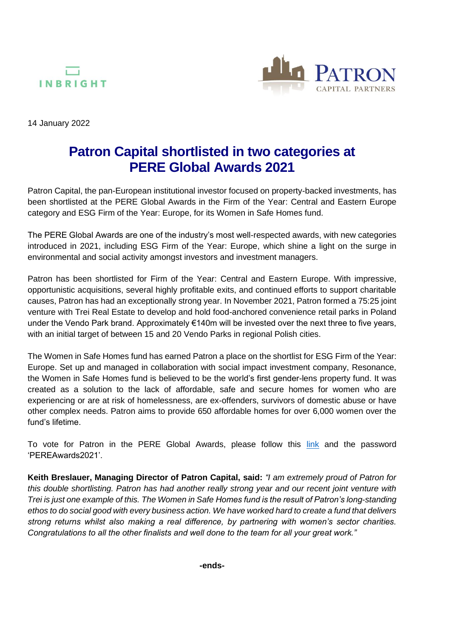



14 January 2022

# **Patron Capital shortlisted in two categories at PERE Global Awards 2021**

Patron Capital, the pan-European institutional investor focused on property-backed investments, has been shortlisted at the PERE Global Awards in the Firm of the Year: Central and Eastern Europe category and ESG Firm of the Year: Europe, for its Women in Safe Homes fund.

The PERE Global Awards are one of the industry's most well-respected awards, with new categories introduced in 2021, including ESG Firm of the Year: Europe, which shine a light on the surge in environmental and social activity amongst investors and investment managers.

Patron has been shortlisted for Firm of the Year: Central and Eastern Europe. With impressive, opportunistic acquisitions, several highly profitable exits, and continued efforts to support charitable causes, Patron has had an exceptionally strong year. In November 2021, Patron formed a 75:25 joint venture with Trei Real Estate to develop and hold food-anchored convenience retail parks in Poland under the Vendo Park brand. Approximately €140m will be invested over the next three to five years, with an initial target of between 15 and 20 Vendo Parks in regional Polish cities.

The Women in Safe Homes fund has earned Patron a place on the shortlist for ESG Firm of the Year: Europe. Set up and managed in collaboration with social impact investment company, Resonance, the Women in Safe Homes fund is believed to be the world's first gender-lens property fund. It was created as a solution to the lack of affordable, safe and secure homes for women who are experiencing or are at risk of homelessness, are ex-offenders, survivors of domestic abuse or have other complex needs. Patron aims to provide 650 affordable homes for over 6,000 women over the fund's lifetime.

To vote for Patron in the PERE Global Awards, please follow this [link](https://www.surveymonkey.co.uk/r/PVZ3SSB) and the password 'PEREAwards2021'.

**Keith Breslauer, Managing Director of Patron Capital, said:** *"I am extremely proud of Patron for this double shortlisting. Patron has had another really strong year and our recent joint venture with Trei is just one example of this. The Women in Safe Homes fund is the result of Patron's long-standing ethos to do social good with every business action. We have worked hard to create a fund that delivers strong returns whilst also making a real difference, by partnering with women's sector charities. Congratulations to all the other finalists and well done to the team for all your great work."*